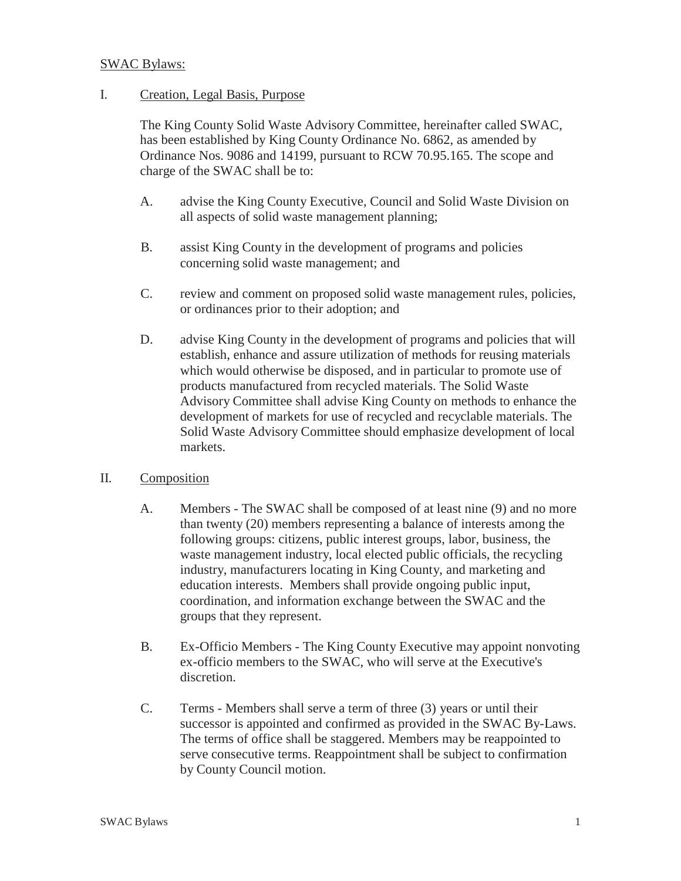#### SWAC Bylaws:

#### I. Creation, Legal Basis, Purpose

The King County Solid Waste Advisory Committee, hereinafter called SWAC, has been established by King County Ordinance No. 6862, as amended by Ordinance Nos. 9086 and 14199, pursuant to RCW 70.95.165. The scope and charge of the SWAC shall be to:

- A. advise the King County Executive, Council and Solid Waste Division on all aspects of solid waste management planning;
- B. assist King County in the development of programs and policies concerning solid waste management; and
- C. review and comment on proposed solid waste management rules, policies, or ordinances prior to their adoption; and
- D. advise King County in the development of programs and policies that will establish, enhance and assure utilization of methods for reusing materials which would otherwise be disposed, and in particular to promote use of products manufactured from recycled materials. The Solid Waste Advisory Committee shall advise King County on methods to enhance the development of markets for use of recycled and recyclable materials. The Solid Waste Advisory Committee should emphasize development of local markets.

### II. Composition

- A. Members The SWAC shall be composed of at least nine (9) and no more than twenty (20) members representing a balance of interests among the following groups: citizens, public interest groups, labor, business, the waste management industry, local elected public officials, the recycling industry, manufacturers locating in King County, and marketing and education interests. Members shall provide ongoing public input, coordination, and information exchange between the SWAC and the groups that they represent.
- B. Ex-Officio Members The King County Executive may appoint nonvoting ex-officio members to the SWAC, who will serve at the Executive's discretion.
- C. Terms Members shall serve a term of three (3) years or until their successor is appointed and confirmed as provided in the SWAC By-Laws. The terms of office shall be staggered. Members may be reappointed to serve consecutive terms. Reappointment shall be subject to confirmation by County Council motion.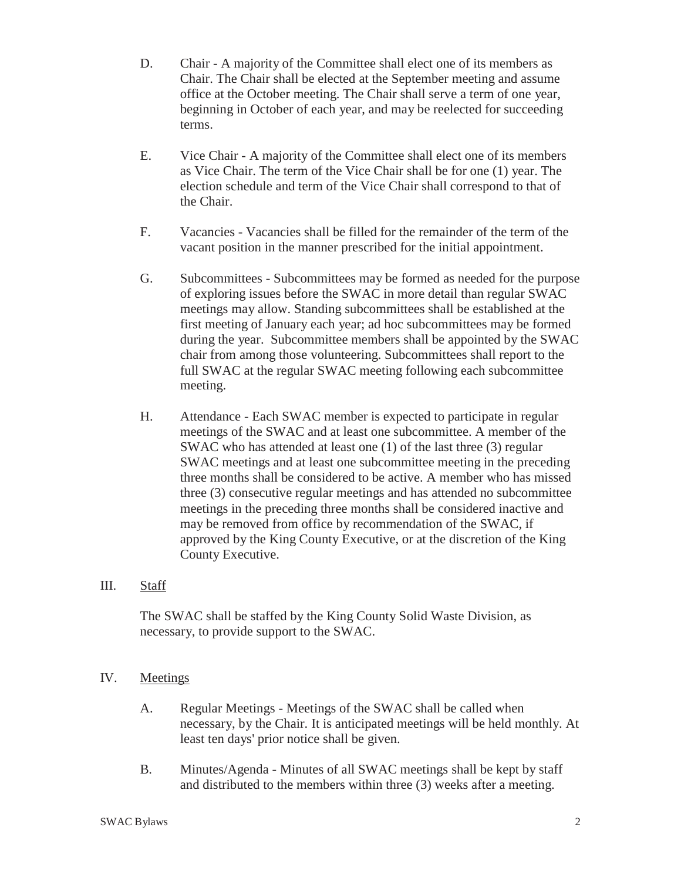- D. Chair A majority of the Committee shall elect one of its members as Chair. The Chair shall be elected at the September meeting and assume office at the October meeting. The Chair shall serve a term of one year, beginning in October of each year, and may be reelected for succeeding terms.
- E. Vice Chair A majority of the Committee shall elect one of its members as Vice Chair. The term of the Vice Chair shall be for one (1) year. The election schedule and term of the Vice Chair shall correspond to that of the Chair.
- F. Vacancies Vacancies shall be filled for the remainder of the term of the vacant position in the manner prescribed for the initial appointment.
- G. Subcommittees Subcommittees may be formed as needed for the purpose of exploring issues before the SWAC in more detail than regular SWAC meetings may allow. Standing subcommittees shall be established at the first meeting of January each year; ad hoc subcommittees may be formed during the year. Subcommittee members shall be appointed by the SWAC chair from among those volunteering. Subcommittees shall report to the full SWAC at the regular SWAC meeting following each subcommittee meeting.
- H. Attendance Each SWAC member is expected to participate in regular meetings of the SWAC and at least one subcommittee. A member of the SWAC who has attended at least one (1) of the last three (3) regular SWAC meetings and at least one subcommittee meeting in the preceding three months shall be considered to be active. A member who has missed three (3) consecutive regular meetings and has attended no subcommittee meetings in the preceding three months shall be considered inactive and may be removed from office by recommendation of the SWAC, if approved by the King County Executive, or at the discretion of the King County Executive.

### III. Staff

The SWAC shall be staffed by the King County Solid Waste Division, as necessary, to provide support to the SWAC.

### IV. Meetings

- A. Regular Meetings Meetings of the SWAC shall be called when necessary, by the Chair. It is anticipated meetings will be held monthly. At least ten days' prior notice shall be given.
- B. Minutes/Agenda Minutes of all SWAC meetings shall be kept by staff and distributed to the members within three (3) weeks after a meeting.